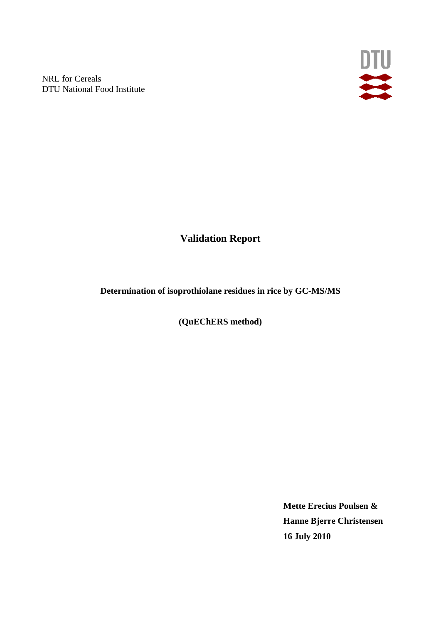NRL for Cereals DTU National Food Institute



**Validation Report** 

**Determination of isoprothiolane residues in rice by GC-MS/MS** 

**(QuEChERS method)** 

**Mette Erecius Poulsen & Hanne Bjerre Christensen 16 July 2010**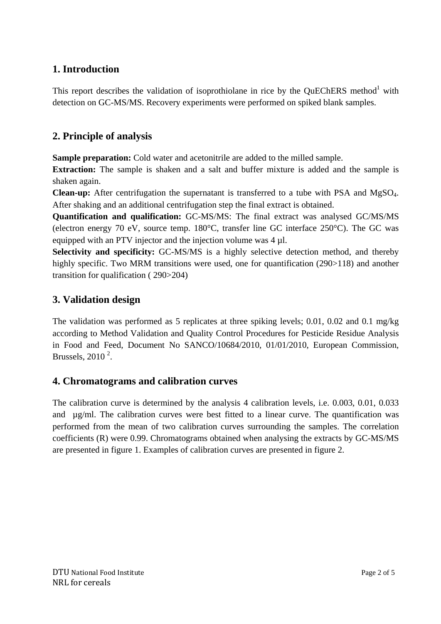# **1. Introduction**

This report describes the validation of isoprothiolane in rice by the QuEChERS method<sup>1</sup> with detection on GC-MS/MS. Recovery experiments were performed on spiked blank samples.

# **2. Principle of analysis**

**Sample preparation:** Cold water and acetonitrile are added to the milled sample.

**Extraction:** The sample is shaken and a salt and buffer mixture is added and the sample is shaken again.

**Clean-up:** After centrifugation the supernatant is transferred to a tube with PSA and MgSO4. After shaking and an additional centrifugation step the final extract is obtained.

**Quantification and qualification:** GC-MS/MS: The final extract was analysed GC/MS/MS (electron energy 70 eV, source temp. 180°C, transfer line GC interface 250°C). The GC was equipped with an PTV injector and the injection volume was 4 µl.

**Selectivity and specificity:** GC-MS/MS is a highly selective detection method, and thereby highly specific. Two MRM transitions were used, one for quantification (290>118) and another transition for qualification ( 290>204)

# **3. Validation design**

The validation was performed as 5 replicates at three spiking levels; 0.01, 0.02 and 0.1 mg/kg according to Method Validation and Quality Control Procedures for Pesticide Residue Analysis in Food and Feed, Document No SANCO/10684/2010, 01/01/2010, European Commission, Brussels,  $2010^2$ .

# **4. Chromatograms and calibration curves**

The calibration curve is determined by the analysis 4 calibration levels, i.e. 0.003, 0.01, 0.033 and µg/ml. The calibration curves were best fitted to a linear curve. The quantification was performed from the mean of two calibration curves surrounding the samples. The correlation coefficients (R) were 0.99. Chromatograms obtained when analysing the extracts by GC-MS/MS are presented in figure 1. Examples of calibration curves are presented in figure 2.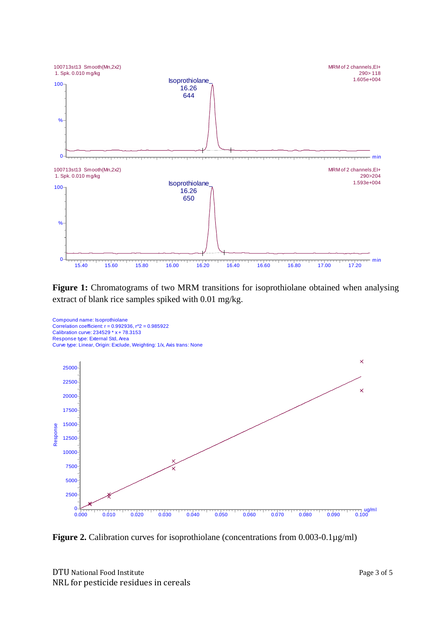

Figure 1: Chromatograms of two MRM transitions for isoprothiolane obtained when analysing extract of blank rice samples spiked with 0.01 mg/kg.



**Figure 2.** Calibration curves for isoprothiolane (concentrations from 0.003-0.1µg/ml)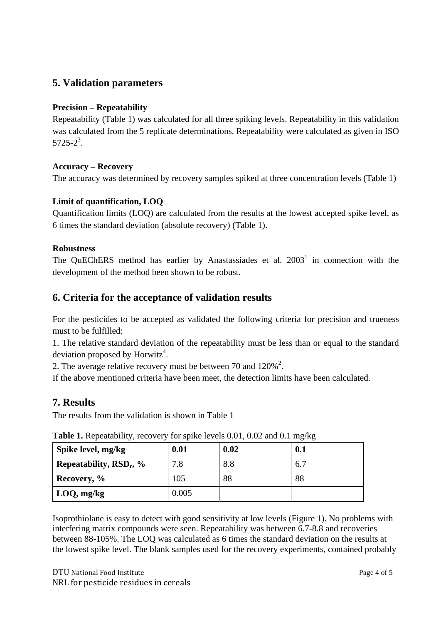### **5. Validation parameters**

#### **Precision – Repeatability**

Repeatability (Table 1) was calculated for all three spiking levels. Repeatability in this validation was calculated from the 5 replicate determinations. Repeatability were calculated as given in ISO  $5725 - 2^3$ .

#### **Accuracy – Recovery**

The accuracy was determined by recovery samples spiked at three concentration levels (Table 1)

#### **Limit of quantification, LOQ**

Quantification limits (LOQ) are calculated from the results at the lowest accepted spike level, as 6 times the standard deviation (absolute recovery) (Table 1).

#### **Robustness**

The QuEChERS method has earlier by Anastassiades et al.  $2003<sup>1</sup>$  in connection with the development of the method been shown to be robust.

### **6. Criteria for the acceptance of validation results**

For the pesticides to be accepted as validated the following criteria for precision and trueness must to be fulfilled:

1. The relative standard deviation of the repeatability must be less than or equal to the standard deviation proposed by Horwitz<sup>4</sup>.

2. The average relative recovery must be between 70 and  $120\%^2$ .

If the above mentioned criteria have been meet, the detection limits have been calculated.

### **7. Results**

The results from the validation is shown in Table 1

| Spike level, mg/kg                  | 0.01  | 0.02 | 0.1 |
|-------------------------------------|-------|------|-----|
| Repeatability, RSD <sub>r</sub> , % | 7.8   | 8.8  | 6.7 |
| Recovery, %                         | 105   | 88   | 88  |
| $\vert$ LOQ, mg/kg                  | 0.005 |      |     |

**Table 1.** Repeatability, recovery for spike levels 0.01, 0.02 and 0.1 mg/kg

Isoprothiolane is easy to detect with good sensitivity at low levels (Figure 1). No problems with interfering matrix compounds were seen. Repeatability was between 6.7-8.8 and recoveries between 88-105%. The LOQ was calculated as 6 times the standard deviation on the results at the lowest spike level. The blank samples used for the recovery experiments, contained probably